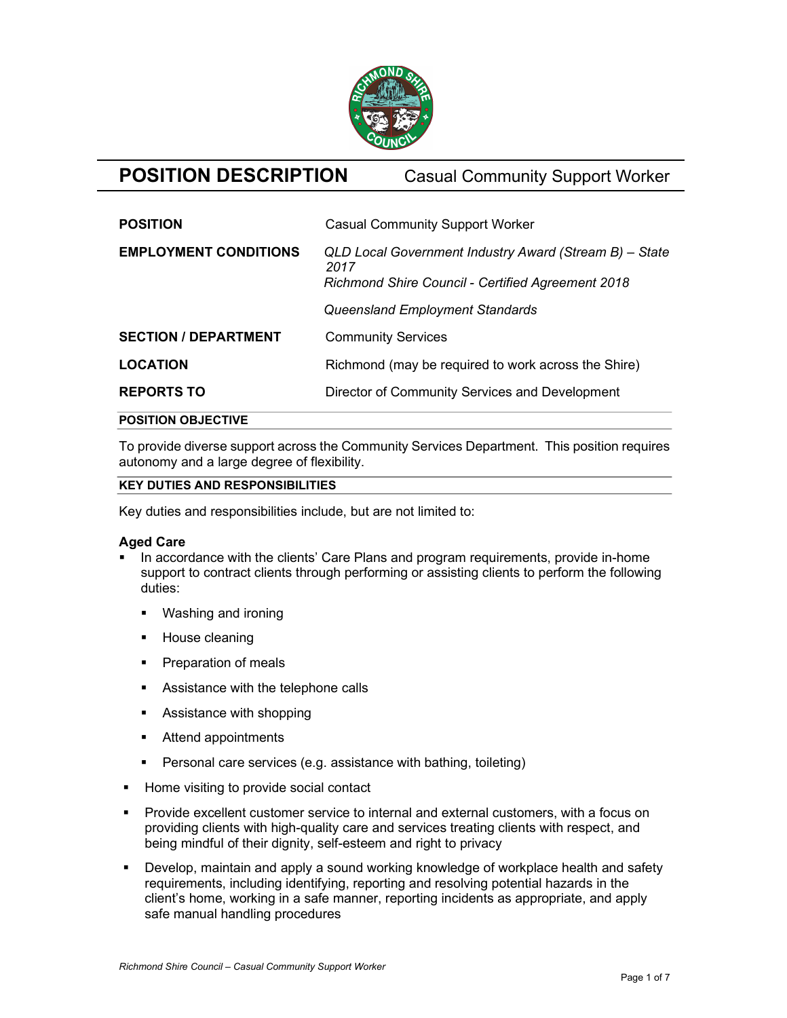

# POSITION DESCRIPTION Casual Community Support Worker

| <b>EMPLOYMENT CONDITIONS</b><br>QLD Local Government Industry Award (Stream B) - State |  |
|----------------------------------------------------------------------------------------|--|
| 2017<br><b>Richmond Shire Council - Certified Agreement 2018</b>                       |  |
| Queensland Employment Standards                                                        |  |
| <b>SECTION / DEPARTMENT</b><br><b>Community Services</b>                               |  |
| <b>LOCATION</b><br>Richmond (may be required to work across the Shire)                 |  |
| <b>REPORTS TO</b><br>Director of Community Services and Development                    |  |

## POSITION OBJECTIVE

To provide diverse support across the Community Services Department. This position requires autonomy and a large degree of flexibility.

## KEY DUTIES AND RESPONSIBILITIES

Key duties and responsibilities include, but are not limited to:

## Aged Care

- In accordance with the clients' Care Plans and program requirements, provide in-home support to contract clients through performing or assisting clients to perform the following duties:
	- Washing and ironing
	- House cleaning
	- **Preparation of meals**
	- **Assistance with the telephone calls**
	- Assistance with shopping
	- Attend appointments
	- **Personal care services (e.g. assistance with bathing, toileting)**
- Home visiting to provide social contact
- **Provide excellent customer service to internal and external customers, with a focus on** providing clients with high-quality care and services treating clients with respect, and being mindful of their dignity, self-esteem and right to privacy
- Develop, maintain and apply a sound working knowledge of workplace health and safety requirements, including identifying, reporting and resolving potential hazards in the client's home, working in a safe manner, reporting incidents as appropriate, and apply safe manual handling procedures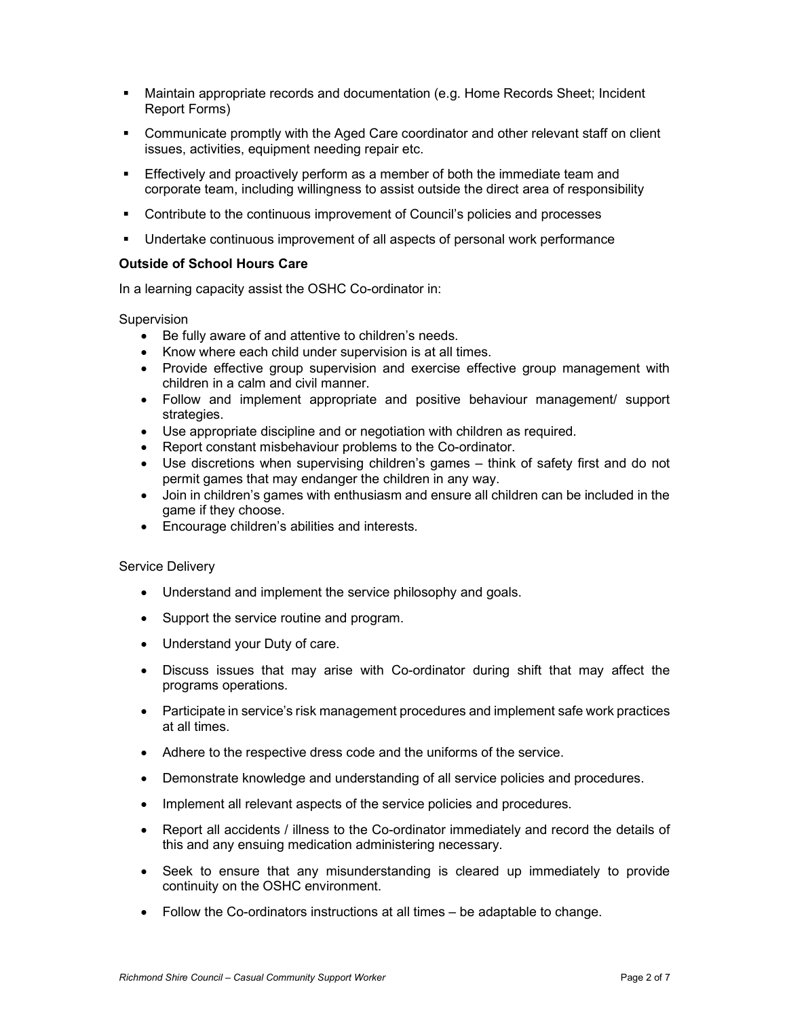- Maintain appropriate records and documentation (e.g. Home Records Sheet; Incident Report Forms)
- Communicate promptly with the Aged Care coordinator and other relevant staff on client issues, activities, equipment needing repair etc.
- Effectively and proactively perform as a member of both the immediate team and corporate team, including willingness to assist outside the direct area of responsibility
- Contribute to the continuous improvement of Council's policies and processes
- **Undertake continuous improvement of all aspects of personal work performance**

## Outside of School Hours Care

In a learning capacity assist the OSHC Co-ordinator in:

Supervision

- Be fully aware of and attentive to children's needs.
- Know where each child under supervision is at all times.
- Provide effective group supervision and exercise effective group management with children in a calm and civil manner.
- Follow and implement appropriate and positive behaviour management/ support strategies.
- Use appropriate discipline and or negotiation with children as required.
- Report constant misbehaviour problems to the Co-ordinator.
- Use discretions when supervising children's games think of safety first and do not permit games that may endanger the children in any way.
- Join in children's games with enthusiasm and ensure all children can be included in the game if they choose.
- Encourage children's abilities and interests.

## Service Delivery

- Understand and implement the service philosophy and goals.
- Support the service routine and program.
- Understand your Duty of care.
- Discuss issues that may arise with Co-ordinator during shift that may affect the programs operations.
- Participate in service's risk management procedures and implement safe work practices at all times.
- Adhere to the respective dress code and the uniforms of the service.
- Demonstrate knowledge and understanding of all service policies and procedures.
- Implement all relevant aspects of the service policies and procedures.
- Report all accidents / illness to the Co-ordinator immediately and record the details of this and any ensuing medication administering necessary.
- Seek to ensure that any misunderstanding is cleared up immediately to provide continuity on the OSHC environment.
- Follow the Co-ordinators instructions at all times be adaptable to change.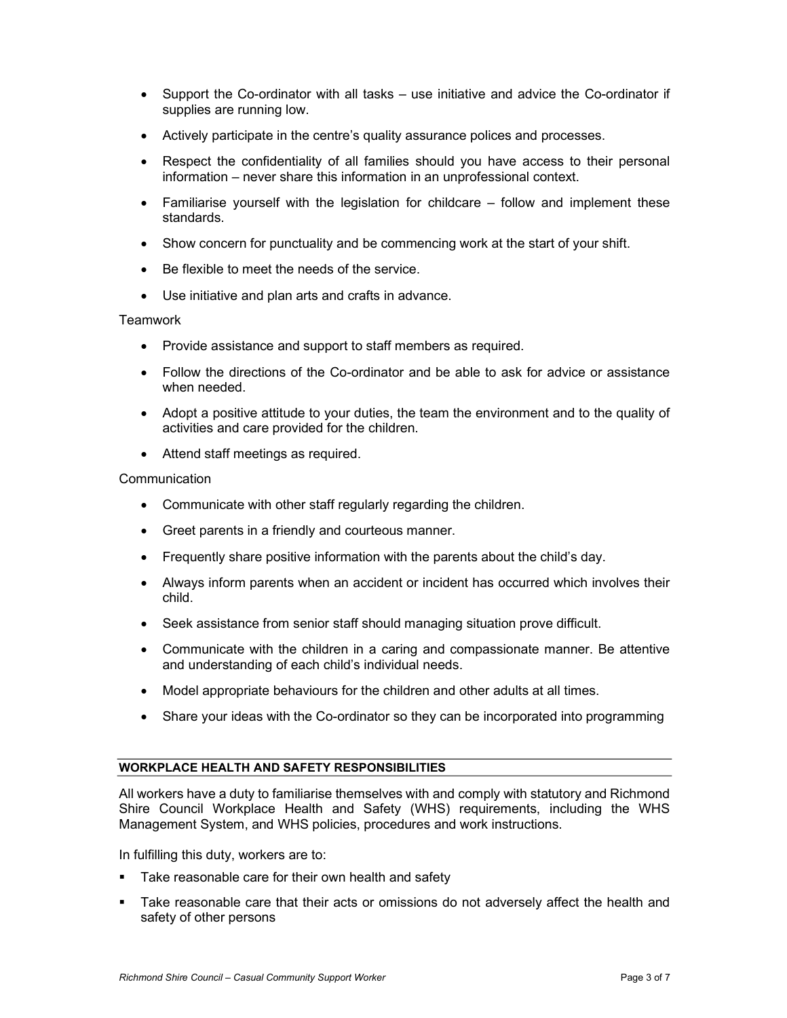- Support the Co-ordinator with all tasks use initiative and advice the Co-ordinator if supplies are running low.
- Actively participate in the centre's quality assurance polices and processes.
- Respect the confidentiality of all families should you have access to their personal information – never share this information in an unprofessional context.
- Familiarise yourself with the legislation for childcare follow and implement these standards.
- Show concern for punctuality and be commencing work at the start of your shift.
- Be flexible to meet the needs of the service.
- Use initiative and plan arts and crafts in advance.

### **Teamwork**

- Provide assistance and support to staff members as required.
- Follow the directions of the Co-ordinator and be able to ask for advice or assistance when needed.
- Adopt a positive attitude to your duties, the team the environment and to the quality of activities and care provided for the children.
- Attend staff meetings as required.

### **Communication**

- Communicate with other staff regularly regarding the children.
- Greet parents in a friendly and courteous manner.
- Frequently share positive information with the parents about the child's day.
- Always inform parents when an accident or incident has occurred which involves their child.
- Seek assistance from senior staff should managing situation prove difficult.
- Communicate with the children in a caring and compassionate manner. Be attentive and understanding of each child's individual needs.
- Model appropriate behaviours for the children and other adults at all times.
- Share your ideas with the Co-ordinator so they can be incorporated into programming

#### WORKPLACE HEALTH AND SAFETY RESPONSIBILITIES

All workers have a duty to familiarise themselves with and comply with statutory and Richmond Shire Council Workplace Health and Safety (WHS) requirements, including the WHS Management System, and WHS policies, procedures and work instructions.

In fulfilling this duty, workers are to:

- **Take reasonable care for their own health and safety**
- Take reasonable care that their acts or omissions do not adversely affect the health and safety of other persons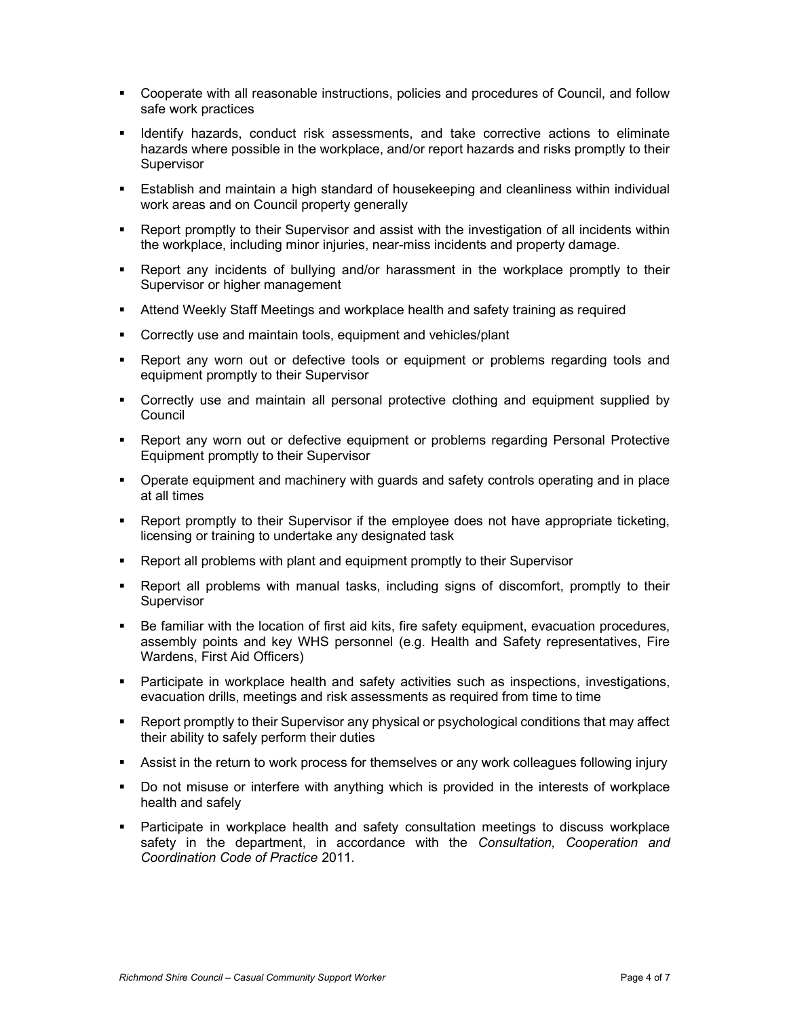- Cooperate with all reasonable instructions, policies and procedures of Council, and follow safe work practices
- Identify hazards, conduct risk assessments, and take corrective actions to eliminate hazards where possible in the workplace, and/or report hazards and risks promptly to their **Supervisor**
- Establish and maintain a high standard of housekeeping and cleanliness within individual work areas and on Council property generally
- Report promptly to their Supervisor and assist with the investigation of all incidents within the workplace, including minor injuries, near-miss incidents and property damage.
- Report any incidents of bullying and/or harassment in the workplace promptly to their Supervisor or higher management
- Attend Weekly Staff Meetings and workplace health and safety training as required
- Correctly use and maintain tools, equipment and vehicles/plant
- Report any worn out or defective tools or equipment or problems regarding tools and equipment promptly to their Supervisor
- Correctly use and maintain all personal protective clothing and equipment supplied by **Council**
- Report any worn out or defective equipment or problems regarding Personal Protective Equipment promptly to their Supervisor
- **•** Operate equipment and machinery with guards and safety controls operating and in place at all times
- Report promptly to their Supervisor if the employee does not have appropriate ticketing, licensing or training to undertake any designated task
- Report all problems with plant and equipment promptly to their Supervisor
- Report all problems with manual tasks, including signs of discomfort, promptly to their **Supervisor**
- Be familiar with the location of first aid kits, fire safety equipment, evacuation procedures, assembly points and key WHS personnel (e.g. Health and Safety representatives, Fire Wardens, First Aid Officers)
- Participate in workplace health and safety activities such as inspections, investigations, evacuation drills, meetings and risk assessments as required from time to time
- Report promptly to their Supervisor any physical or psychological conditions that may affect their ability to safely perform their duties
- Assist in the return to work process for themselves or any work colleagues following injury
- Do not misuse or interfere with anything which is provided in the interests of workplace health and safely
- **Participate in workplace health and safety consultation meetings to discuss workplace** safety in the department, in accordance with the Consultation, Cooperation and Coordination Code of Practice 2011.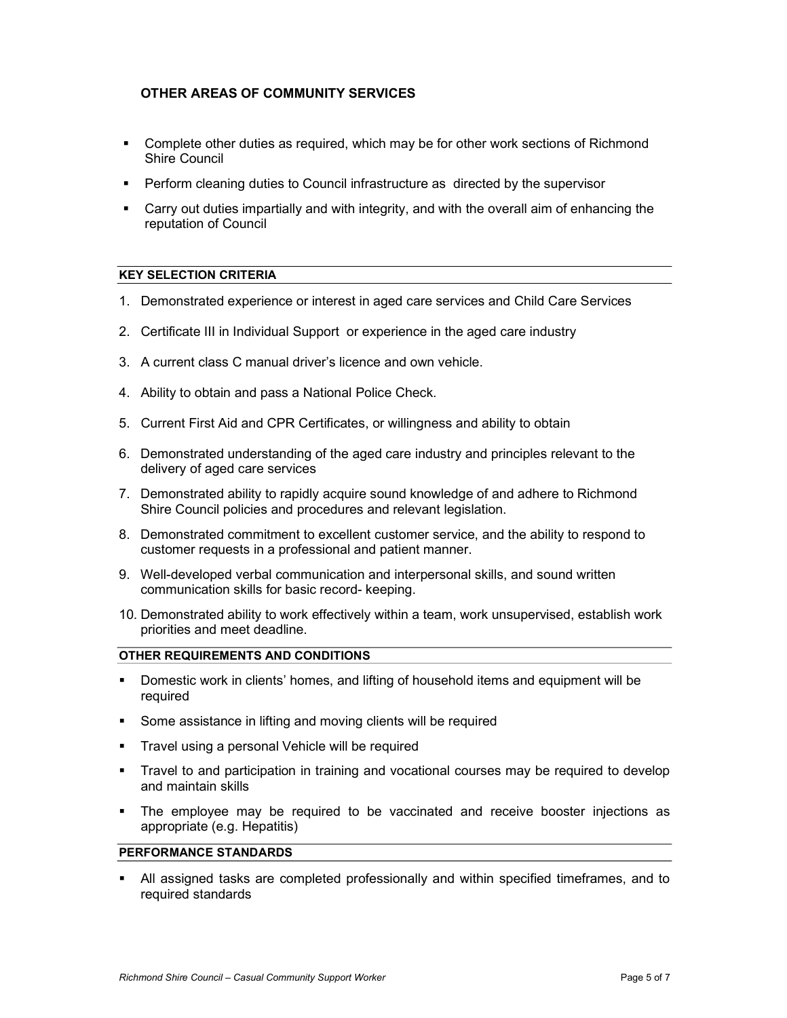## OTHER AREAS OF COMMUNITY SERVICES

- Complete other duties as required, which may be for other work sections of Richmond Shire Council
- Perform cleaning duties to Council infrastructure as directed by the supervisor
- Carry out duties impartially and with integrity, and with the overall aim of enhancing the reputation of Council

## KEY SELECTION CRITERIA

- 1. Demonstrated experience or interest in aged care services and Child Care Services
- 2. Certificate III in Individual Support or experience in the aged care industry
- 3. A current class C manual driver's licence and own vehicle.
- 4. Ability to obtain and pass a National Police Check.
- 5. Current First Aid and CPR Certificates, or willingness and ability to obtain
- 6. Demonstrated understanding of the aged care industry and principles relevant to the delivery of aged care services
- 7. Demonstrated ability to rapidly acquire sound knowledge of and adhere to Richmond Shire Council policies and procedures and relevant legislation.
- 8. Demonstrated commitment to excellent customer service, and the ability to respond to customer requests in a professional and patient manner.
- 9. Well-developed verbal communication and interpersonal skills, and sound written communication skills for basic record- keeping.
- 10. Demonstrated ability to work effectively within a team, work unsupervised, establish work priorities and meet deadline.

## OTHER REQUIREMENTS AND CONDITIONS

- Domestic work in clients' homes, and lifting of household items and equipment will be required
- **Some assistance in lifting and moving clients will be required**
- **Travel using a personal Vehicle will be required**
- Travel to and participation in training and vocational courses may be required to develop and maintain skills
- The employee may be required to be vaccinated and receive booster injections as appropriate (e.g. Hepatitis)

### PERFORMANCE STANDARDS

 All assigned tasks are completed professionally and within specified timeframes, and to required standards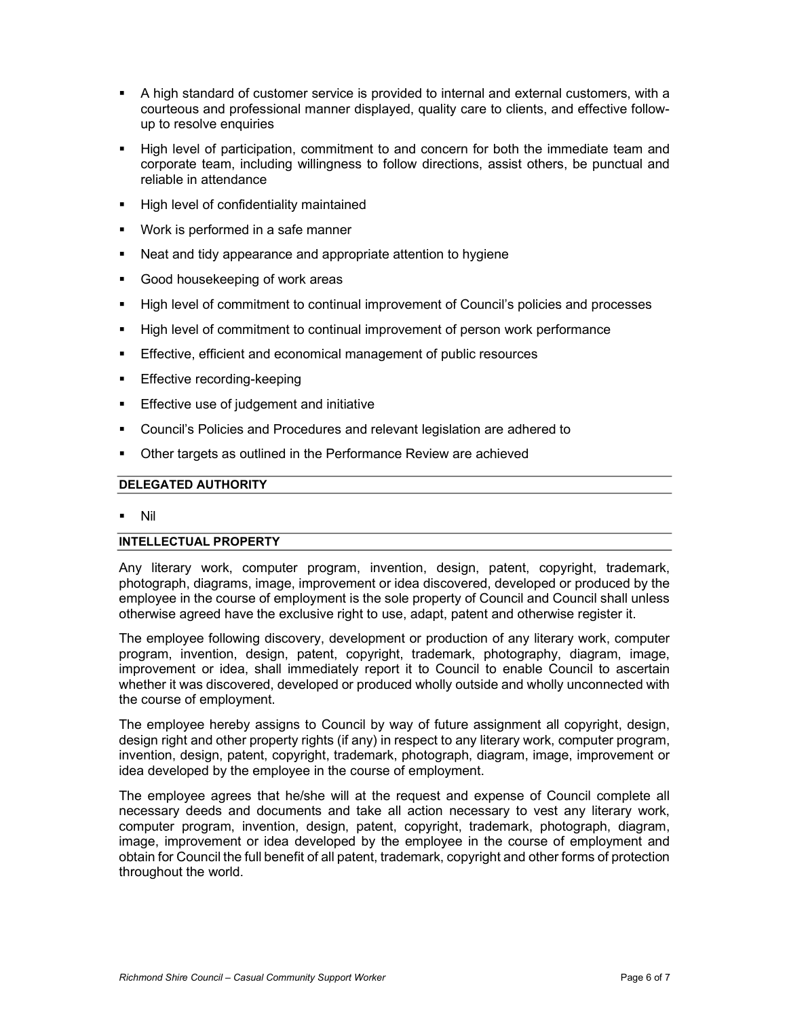- A high standard of customer service is provided to internal and external customers, with a courteous and professional manner displayed, quality care to clients, and effective followup to resolve enquiries
- High level of participation, commitment to and concern for both the immediate team and corporate team, including willingness to follow directions, assist others, be punctual and reliable in attendance
- High level of confidentiality maintained
- **Work is performed in a safe manner**
- Neat and tidy appearance and appropriate attention to hygiene
- Good housekeeping of work areas
- High level of commitment to continual improvement of Council's policies and processes
- High level of commitment to continual improvement of person work performance
- **Effective, efficient and economical management of public resources**
- **Effective recording-keeping**
- **Effective use of judgement and initiative**
- Council's Policies and Procedures and relevant legislation are adhered to
- **Other targets as outlined in the Performance Review are achieved**

## DELEGATED AUTHORITY

Nil

## INTELLECTUAL PROPERTY

Any literary work, computer program, invention, design, patent, copyright, trademark, photograph, diagrams, image, improvement or idea discovered, developed or produced by the employee in the course of employment is the sole property of Council and Council shall unless otherwise agreed have the exclusive right to use, adapt, patent and otherwise register it.

The employee following discovery, development or production of any literary work, computer program, invention, design, patent, copyright, trademark, photography, diagram, image, improvement or idea, shall immediately report it to Council to enable Council to ascertain whether it was discovered, developed or produced wholly outside and wholly unconnected with the course of employment.

The employee hereby assigns to Council by way of future assignment all copyright, design, design right and other property rights (if any) in respect to any literary work, computer program, invention, design, patent, copyright, trademark, photograph, diagram, image, improvement or idea developed by the employee in the course of employment.

The employee agrees that he/she will at the request and expense of Council complete all necessary deeds and documents and take all action necessary to vest any literary work, computer program, invention, design, patent, copyright, trademark, photograph, diagram, image, improvement or idea developed by the employee in the course of employment and obtain for Council the full benefit of all patent, trademark, copyright and other forms of protection throughout the world.